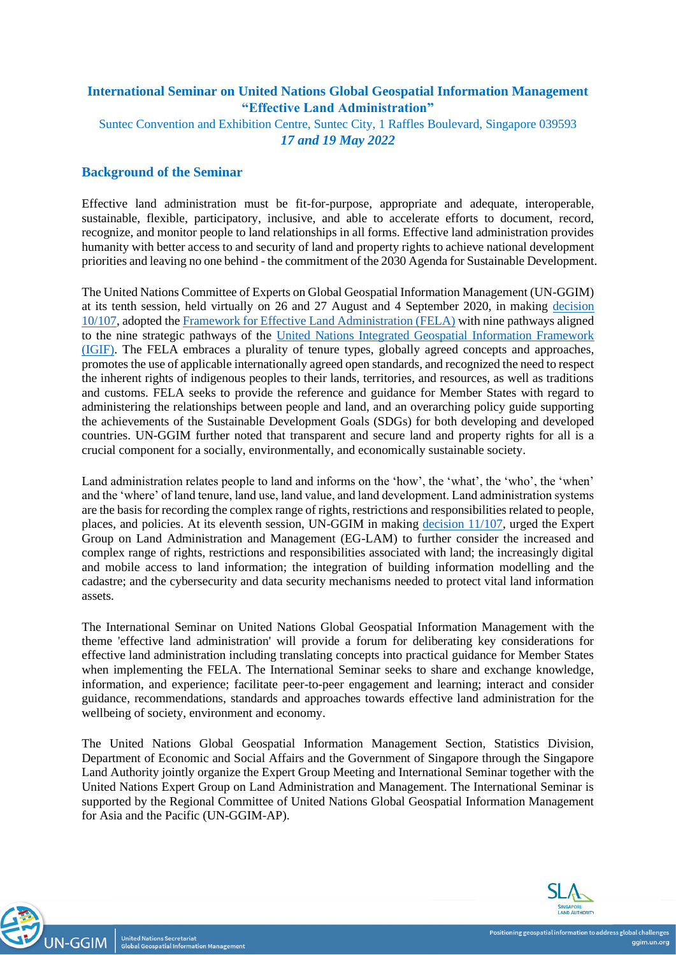# **International Seminar on United Nations Global Geospatial Information Management "Effective Land Administration"**

Suntec Convention and Exhibition Centre, Suntec City, 1 Raffles Boulevard, Singapore 039593 *17 and 19 May 2022*

## **Background of the Seminar**

Effective land administration must be fit-for-purpose, appropriate and adequate, interoperable, sustainable, flexible, participatory, inclusive, and able to accelerate efforts to document, record, recognize, and monitor people to land relationships in all forms. Effective land administration provides humanity with better access to and security of land and property rights to achieve national development priorities and leaving no one behind - the commitment of the 2030 Agenda for Sustainable Development.

The United Nations Committee of Experts on Global Geospatial Information Management (UN-GGIM) at its tenth session, held virtually on 26 and 27 August and 4 September 2020, in making [decision](https://ggim.un.org/meetings/GGIM-committee/10th-Session/documents/GGIM10_report_e.pdf)  [10/107,](https://ggim.un.org/meetings/GGIM-committee/10th-Session/documents/GGIM10_report_e.pdf) adopted the [Framework for Effective Land Administration \(FELA\)](https://ggim.un.org/meetings/GGIM-committee/10th-Session/documents/E-C.20-2020-29-Add_2-Framework-for-Effective-Land-Administration.pdf) with nine pathways aligned to the nine strategic pathways of the [United Nations Integrated Geospatial Information Framework](https://ggim.un.org/IGIF/)  [\(IGIF\).](https://ggim.un.org/IGIF/) The FELA embraces a plurality of tenure types, globally agreed concepts and approaches, promotes the use of applicable internationally agreed open standards, and recognized the need to respect the inherent rights of indigenous peoples to their lands, territories, and resources, as well as traditions and customs. FELA seeks to provide the reference and guidance for Member States with regard to administering the relationships between people and land, and an overarching policy guide supporting the achievements of the Sustainable Development Goals (SDGs) for both developing and developed countries. UN-GGIM further noted that transparent and secure land and property rights for all is a crucial component for a socially, environmentally, and economically sustainable society.

Land administration relates people to land and informs on the 'how', the 'what', the 'who', the 'when' and the 'where' of land tenure, land use, land value, and land development. Land administration systems are the basis for recording the complex range of rights, restrictions and responsibilities related to people, places, and policies. At its eleventh session, UN-GGIM in making [decision 11/107,](https://ggim.un.org/meetings/GGIM-committee/11th-Session/documents/E_2022_46-E_C20_2021_16_E.pdf) urged the Expert Group on Land Administration and Management (EG-LAM) to further consider the increased and complex range of rights, restrictions and responsibilities associated with land; the increasingly digital and mobile access to land information; the integration of building information modelling and the cadastre; and the cybersecurity and data security mechanisms needed to protect vital land information assets.

The International Seminar on United Nations Global Geospatial Information Management with the theme 'effective land administration' will provide a forum for deliberating key considerations for effective land administration including translating concepts into practical guidance for Member States when implementing the FELA. The International Seminar seeks to share and exchange knowledge, information, and experience; facilitate peer-to-peer engagement and learning; interact and consider guidance, recommendations, standards and approaches towards effective land administration for the wellbeing of society, environment and economy.

The United Nations Global Geospatial Information Management Section, Statistics Division, Department of Economic and Social Affairs and the Government of Singapore through the Singapore Land Authority jointly organize the Expert Group Meeting and International Seminar together with the United Nations Expert Group on Land Administration and Management. The International Seminar is supported by the Regional Committee of United Nations Global Geospatial Information Management for Asia and the Pacific (UN-GGIM-AP).

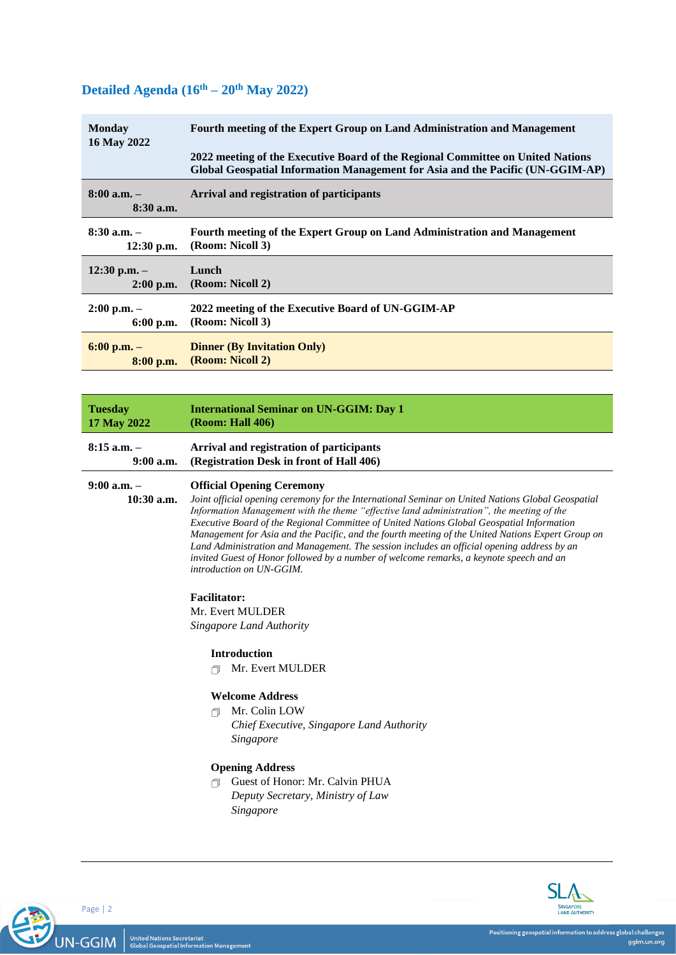# **Detailed Agenda (16th – 20th May 2022)**

| <b>Monday</b><br>16 May 2022   | Fourth meeting of the Expert Group on Land Administration and Management<br>2022 meeting of the Executive Board of the Regional Committee on United Nations<br><b>Global Geospatial Information Management for Asia and the Pacific (UN-GGIM-AP)</b> |
|--------------------------------|------------------------------------------------------------------------------------------------------------------------------------------------------------------------------------------------------------------------------------------------------|
| $8:00$ a.m. $-$<br>$8:30$ a.m. | Arrival and registration of participants                                                                                                                                                                                                             |
| $8:30$ a.m. $-$                | Fourth meeting of the Expert Group on Land Administration and Management                                                                                                                                                                             |
| $12:30$ p.m.                   | (Room: Nicoll 3)                                                                                                                                                                                                                                     |
| $12:30$ p.m. $-$               | Lunch                                                                                                                                                                                                                                                |
| $2:00$ p.m.                    | (Room: Nicoll 2)                                                                                                                                                                                                                                     |
| $2:00$ p.m. $-$                | 2022 meeting of the Executive Board of UN-GGIM-AP                                                                                                                                                                                                    |
| $6:00$ p.m.                    | (Room: Nicoll 3)                                                                                                                                                                                                                                     |
| $6:00$ p.m. $-$                | <b>Dinner (By Invitation Only)</b>                                                                                                                                                                                                                   |
| $8:00$ p.m.                    | (Room: Nicoll 2)                                                                                                                                                                                                                                     |

| <b>Tuesday</b>  | <b>International Seminar on UN-GGIM: Day 1</b>                                                    |
|-----------------|---------------------------------------------------------------------------------------------------|
| 17 May 2022     | <b>(Room: Hall 406)</b>                                                                           |
| $8:15$ a.m. $-$ | Arrival and registration of participants                                                          |
| $9:00$ a.m.     | (Registration Desk in front of Hall 406)                                                          |
| $9:00$ a.m. $-$ | <b>Official Opening Ceremony</b>                                                                  |
| $10:30$ a.m.    | Joint official opening ceremony for the International Seminar on United Nations Global Geospatial |

*Joint official opening ceremony for the International Seminar on United Nations Global Geospatial Information Management with the theme "effective land administration", the meeting of the Executive Board of the Regional Committee of United Nations Global Geospatial Information Management for Asia and the Pacific, and the fourth meeting of the United Nations Expert Group on Land Administration and Management. The session includes an official opening address by an invited Guest of Honor followed by a number of welcome remarks, a keynote speech and an introduction on UN-GGIM.*

**Facilitator:**

Mr. Evert MULDER *Singapore Land Authority*

## **Introduction**

**Mr. Evert MULDER** 

## **Welcome Address**

Mr. Colin LOW *Chief Executive, Singapore Land Authority Singapore*

## **Opening Address**

 Guest of Honor: Mr. Calvin PHUA *Deputy Secretary, Ministry of Law Singapore*



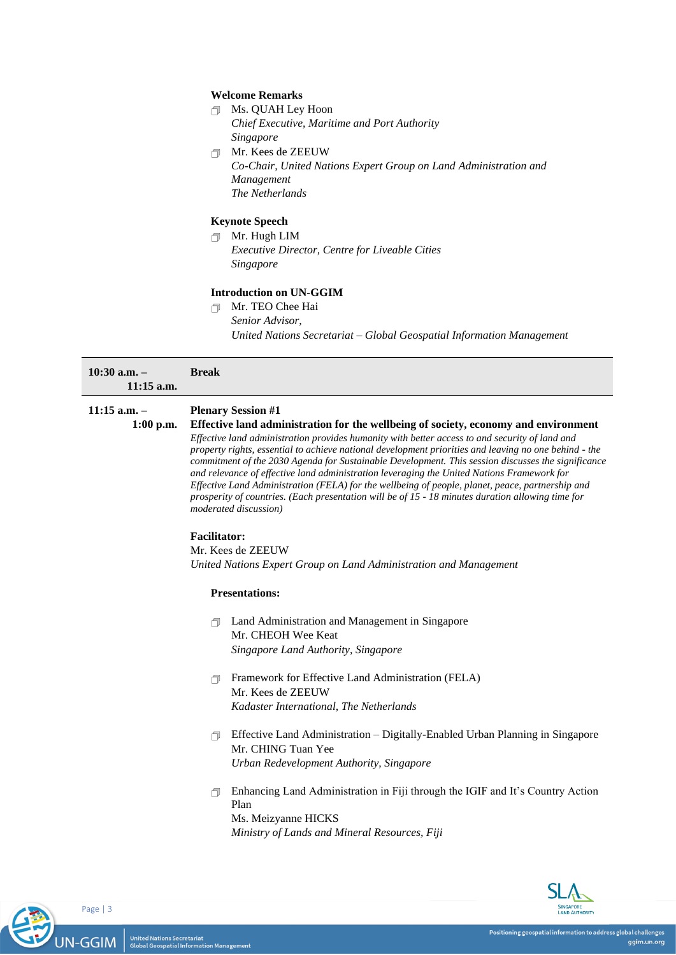#### **Welcome Remarks**

- Ms. QUAH Ley Hoon *Chief Executive, Maritime and Port Authority Singapore*
- Mr. Kees de ZEEUW *Co-Chair, United Nations Expert Group on Land Administration and Management The Netherlands*

#### **Keynote Speech**

Mr. Hugh LIM *Executive Director, Centre for Liveable Cities Singapore*

## **Introduction on UN-GGIM**

**Mr.** TEO Chee Hai *Senior Advisor, United Nations Secretariat – Global Geospatial Information Management*

| $10:30$ a.m. $-$<br>$11:15$ a.m. | <b>Break</b>              |
|----------------------------------|---------------------------|
| $11:15$ a.m. $-$                 | <b>Plenary Session #1</b> |

**1:00 p.m. Effective land administration for the wellbeing of society, economy and environment** *Effective land administration provides humanity with better access to and security of land and property rights, essential to achieve national development priorities and leaving no one behind - the commitment of the 2030 Agenda for Sustainable Development. This session discusses the significance* 

*and relevance of effective land administration leveraging the United Nations Framework for Effective Land Administration (FELA) for the wellbeing of people, planet, peace, partnership and prosperity of countries. (Each presentation will be of 15 - 18 minutes duration allowing time for moderated discussion)*

#### **Facilitator:**

Mr. Kees de ZEEUW *United Nations Expert Group on Land Administration and Management*

#### **Presentations:**

- Land Administration and Management in Singapore Mr. CHEOH Wee Keat *Singapore Land Authority, Singapore*
- Framework for Effective Land Administration (FELA) Mr. Kees de ZEEUW *Kadaster International, The Netherlands*
- $\Box$  Effective Land Administration Digitally-Enabled Urban Planning in Singapore Mr. CHING Tuan Yee *Urban Redevelopment Authority, Singapore*
- Enhancing Land Administration in Fiji through the IGIF and It's Country Action Plan Ms. Meizyanne HICKS *Ministry of Lands and Mineral Resources, Fiji*

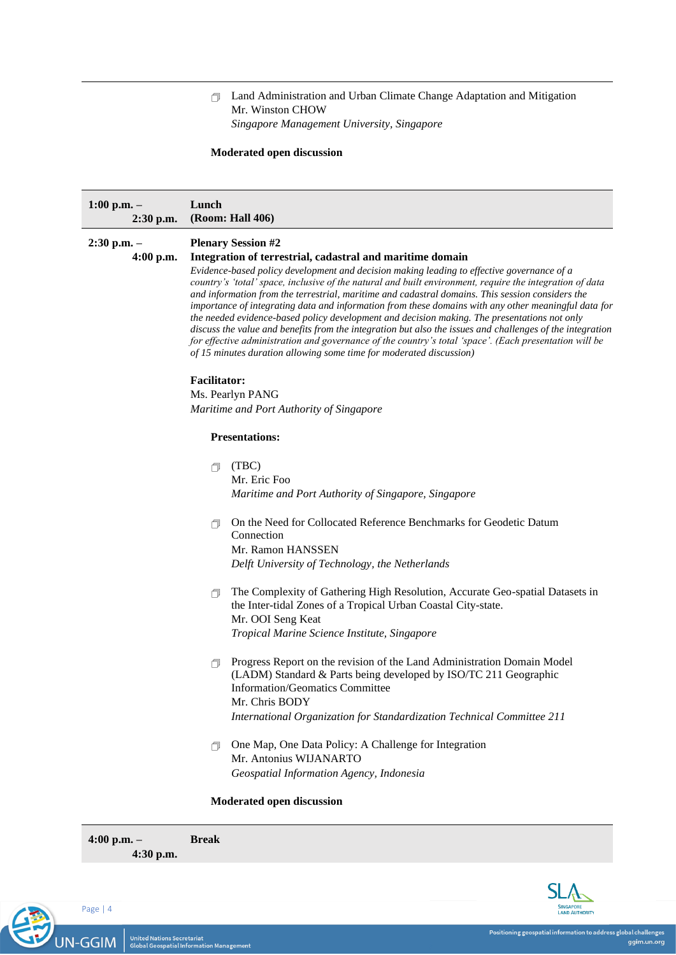## Land Administration and Urban Climate Change Adaptation and Mitigation Mr. Winston CHOW *Singapore Management University, Singapore*

## **Moderated open discussion**

| $1:00$ p.m. $-$<br>2:30 p.m. | Lunch<br>(Room: Hall 406)                                                                                                                                                                                                                                                                                                                                                                                                                                                                                                                                                                                                                                                                                                                                                                                        |
|------------------------------|------------------------------------------------------------------------------------------------------------------------------------------------------------------------------------------------------------------------------------------------------------------------------------------------------------------------------------------------------------------------------------------------------------------------------------------------------------------------------------------------------------------------------------------------------------------------------------------------------------------------------------------------------------------------------------------------------------------------------------------------------------------------------------------------------------------|
| $2:30$ p.m. $-$              | <b>Plenary Session #2</b>                                                                                                                                                                                                                                                                                                                                                                                                                                                                                                                                                                                                                                                                                                                                                                                        |
| $4:00$ p.m.                  | Integration of terrestrial, cadastral and maritime domain                                                                                                                                                                                                                                                                                                                                                                                                                                                                                                                                                                                                                                                                                                                                                        |
|                              | Evidence-based policy development and decision making leading to effective governance of a<br>country's 'total' space, inclusive of the natural and built environment, require the integration of data<br>and information from the terrestrial, maritime and cadastral domains. This session considers the<br>importance of integrating data and information from these domains with any other meaningful data for<br>the needed evidence-based policy development and decision making. The presentations not only<br>discuss the value and benefits from the integration but also the issues and challenges of the integration<br>for effective administration and governance of the country's total 'space'. (Each presentation will be<br>of 15 minutes duration allowing some time for moderated discussion) |
|                              | <b>Facilitator:</b>                                                                                                                                                                                                                                                                                                                                                                                                                                                                                                                                                                                                                                                                                                                                                                                              |
|                              | Ms. Pearlyn PANG                                                                                                                                                                                                                                                                                                                                                                                                                                                                                                                                                                                                                                                                                                                                                                                                 |
|                              | Maritime and Port Authority of Singapore                                                                                                                                                                                                                                                                                                                                                                                                                                                                                                                                                                                                                                                                                                                                                                         |
|                              | <b>Presentations:</b>                                                                                                                                                                                                                                                                                                                                                                                                                                                                                                                                                                                                                                                                                                                                                                                            |
|                              | (TBC)<br>a                                                                                                                                                                                                                                                                                                                                                                                                                                                                                                                                                                                                                                                                                                                                                                                                       |
|                              | Mr. Eric Foo                                                                                                                                                                                                                                                                                                                                                                                                                                                                                                                                                                                                                                                                                                                                                                                                     |
|                              | Maritime and Port Authority of Singapore, Singapore                                                                                                                                                                                                                                                                                                                                                                                                                                                                                                                                                                                                                                                                                                                                                              |
|                              | On the Need for Collocated Reference Benchmarks for Geodetic Datum<br>Connection                                                                                                                                                                                                                                                                                                                                                                                                                                                                                                                                                                                                                                                                                                                                 |
|                              | Mr. Ramon HANSSEN                                                                                                                                                                                                                                                                                                                                                                                                                                                                                                                                                                                                                                                                                                                                                                                                |
|                              | Delft University of Technology, the Netherlands                                                                                                                                                                                                                                                                                                                                                                                                                                                                                                                                                                                                                                                                                                                                                                  |
|                              | The Complexity of Gathering High Resolution, Accurate Geo-spatial Datasets in<br>同<br>the Inter-tidal Zones of a Tropical Urban Coastal City-state.<br>Mr. OOI Seng Keat                                                                                                                                                                                                                                                                                                                                                                                                                                                                                                                                                                                                                                         |
|                              | Tropical Marine Science Institute, Singapore                                                                                                                                                                                                                                                                                                                                                                                                                                                                                                                                                                                                                                                                                                                                                                     |
|                              | Progress Report on the revision of the Land Administration Domain Model<br>闹<br>(LADM) Standard & Parts being developed by ISO/TC 211 Geographic<br>Information/Geomatics Committee<br>Mr. Chris BODY                                                                                                                                                                                                                                                                                                                                                                                                                                                                                                                                                                                                            |
|                              | International Organization for Standardization Technical Committee 211                                                                                                                                                                                                                                                                                                                                                                                                                                                                                                                                                                                                                                                                                                                                           |
|                              | One Map, One Data Policy: A Challenge for Integration                                                                                                                                                                                                                                                                                                                                                                                                                                                                                                                                                                                                                                                                                                                                                            |
|                              | A<br>Mr. Antonius WIJANARTO                                                                                                                                                                                                                                                                                                                                                                                                                                                                                                                                                                                                                                                                                                                                                                                      |
|                              | Geospatial Information Agency, Indonesia                                                                                                                                                                                                                                                                                                                                                                                                                                                                                                                                                                                                                                                                                                                                                                         |
|                              |                                                                                                                                                                                                                                                                                                                                                                                                                                                                                                                                                                                                                                                                                                                                                                                                                  |
|                              | Moderated open discussion                                                                                                                                                                                                                                                                                                                                                                                                                                                                                                                                                                                                                                                                                                                                                                                        |

Page | 4 12 UN-GGIM

**4:00 p.m. –**

**4:30 p.m.**

**Break**

**SINGAPORE**<br>LAND AUTHORITY

 $SI$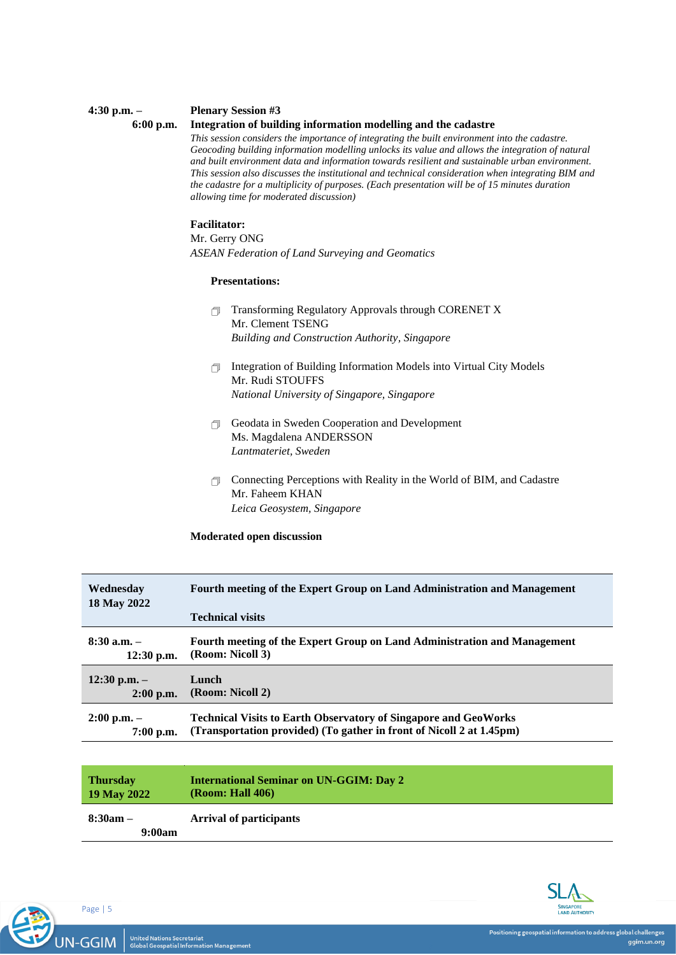## **Plenary Session #3**

**6:00 p.m.**

**4:30 p.m. –**

## **Integration of building information modelling and the cadastre**

*This session considers the importance of integrating the built environment into the cadastre. Geocoding building information modelling unlocks its value and allows the integration of natural and built environment data and information towards resilient and sustainable urban environment. This session also discusses the institutional and technical consideration when integrating BIM and the cadastre for a multiplicity of purposes. (Each presentation will be of 15 minutes duration allowing time for moderated discussion)*

## **Facilitator:**

Mr. Gerry ONG *ASEAN Federation of Land Surveying and Geomatics*

#### **Presentations:**

- Transforming Regulatory Approvals through CORENET X Mr. Clement TSENG *Building and Construction Authority, Singapore*
- Integration of Building Information Models into Virtual City Models Mr. Rudi STOUFFS *National University of Singapore, Singapore*
- Geodata in Sweden Cooperation and Development Ms. Magdalena ANDERSSON *Lantmateriet, Sweden*
- Connecting Perceptions with Reality in the World of BIM, and Cadastre Mr. Faheem KHAN *Leica Geosystem, Singapore*

#### **Moderated open discussion**

| Wednesday        | Fourth meeting of the Expert Group on Land Administration and Management |
|------------------|--------------------------------------------------------------------------|
| 18 May 2022      | <b>Technical visits</b>                                                  |
|                  |                                                                          |
| $8:30$ a.m. $-$  | Fourth meeting of the Expert Group on Land Administration and Management |
| $12:30$ p.m.     | (Room: Nicoll 3)                                                         |
| $12:30$ p.m. $-$ | Lunch                                                                    |
| $2:00$ p.m.      | (Room: Nicoll 2)                                                         |
| $2:00$ p.m. $-$  | <b>Technical Visits to Earth Observatory of Singapore and GeoWorks</b>   |
| $7:00$ p.m.      | (Transportation provided) (To gather in front of Nicoll 2 at 1.45pm)     |
|                  |                                                                          |

|                                                        | <b>Thursday</b><br>19 May 2022 | <b>International Seminar on UN-GGIM: Day 2</b><br><b>(Room: Hall 406)</b> |
|--------------------------------------------------------|--------------------------------|---------------------------------------------------------------------------|
| $8:30am -$<br><b>Arrival of participants</b><br>9:00am |                                |                                                                           |



United Nations Secretariat<br>Global Geospatial Information Management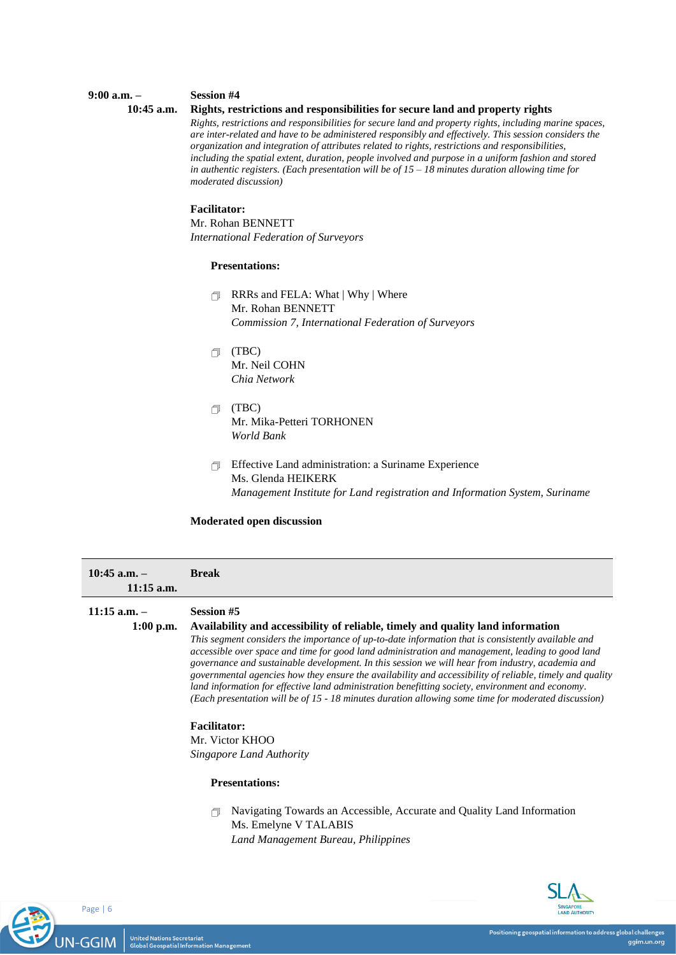#### **Session #4**

#### **10:45 a.m.**

**9:00 a.m. –**

#### **Rights, restrictions and responsibilities for secure land and property rights**

*Rights, restrictions and responsibilities for secure land and property rights, including marine spaces, are inter-related and have to be administered responsibly and effectively. This session considers the organization and integration of attributes related to rights, restrictions and responsibilities, including the spatial extent, duration, people involved and purpose in a uniform fashion and stored in authentic registers. (Each presentation will be of 15 – 18 minutes duration allowing time for moderated discussion)*

## **Facilitator:**

Mr. Rohan BENNETT *International Federation of Surveyors*

## **Presentations:**

- RRRs and FELA: What | Why | Where Mr. Rohan BENNETT *Commission 7, International Federation of Surveyors*
- (TBC) Mr. Neil COHN *Chia Network*
- (TBC) Mr. Mika-Petteri TORHONEN *World Bank*
- Effective Land administration: a Suriname Experience Ms. Glenda HEIKERK *Management Institute for Land registration and Information System, Suriname*

#### **Moderated open discussion**

| $10:45$ a.m. $-$<br>$11:15$ a.m. | <b>Break</b>                                                                                                                                                                                                                                                                                                                                                                                                                                                                                                                                                                                                                                                                                                                                                                                                           |
|----------------------------------|------------------------------------------------------------------------------------------------------------------------------------------------------------------------------------------------------------------------------------------------------------------------------------------------------------------------------------------------------------------------------------------------------------------------------------------------------------------------------------------------------------------------------------------------------------------------------------------------------------------------------------------------------------------------------------------------------------------------------------------------------------------------------------------------------------------------|
| $11:15$ a.m. $-$<br>$1:00$ p.m.  | <b>Session #5</b><br>Availability and accessibility of reliable, timely and quality land information<br>This segment considers the importance of up-to-date information that is consistently available and<br>accessible over space and time for good land administration and management, leading to good land<br>governance and sustainable development. In this session we will hear from industry, academia and<br>governmental agencies how they ensure the availability and accessibility of reliable, timely and quality<br>land information for effective land administration benefitting society, environment and economy.<br>(Each presentation will be of 15 - 18 minutes duration allowing some time for moderated discussion)<br><b>Facilitator:</b><br>Mr. Victor KHOO<br><b>Singapore Land Authority</b> |

## **Presentations:**

 Navigating Towards an Accessible, Accurate and Quality Land Information Ms. Emelyne V TALABIS *Land Management Bureau, Philippines*

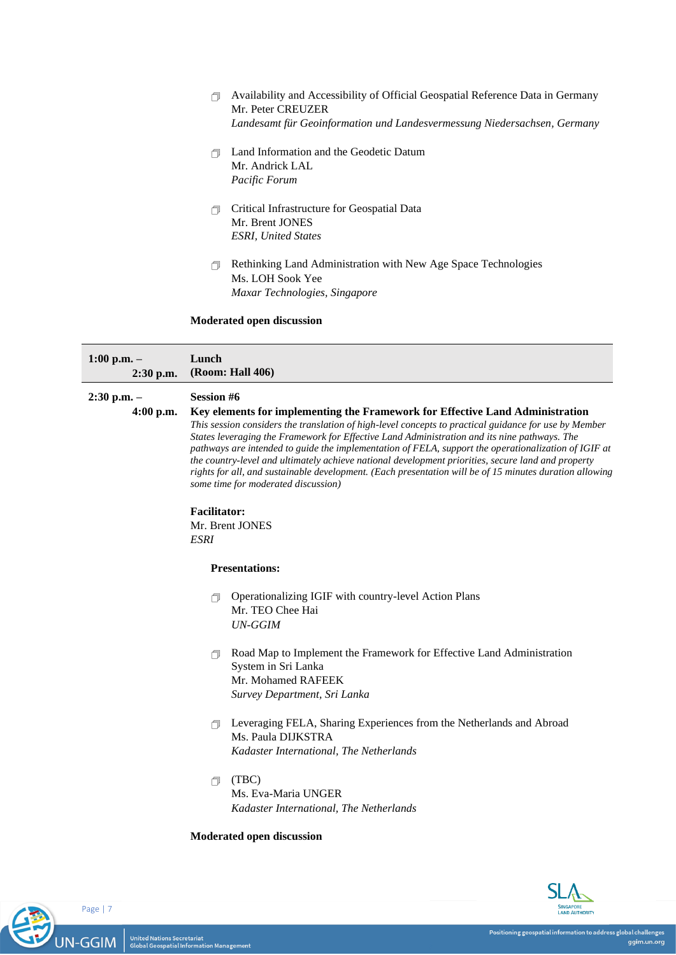- Availability and Accessibility of Official Geospatial Reference Data in Germany Mr. Peter CREUZER *Landesamt für Geoinformation und Landesvermessung Niedersachsen, Germany*
- Land Information and the Geodetic Datum Mr. Andrick LAL *Pacific Forum*
- Critical Infrastructure for Geospatial Data Mr. Brent JONES *ESRI, United States*
- Rethinking Land Administration with New Age Space Technologies Ms. LOH Sook Yee *Maxar Technologies, Singapore*

## **Moderated open discussion**

| $1:00$ p.m. $-$<br>2:30 p.m.   | Lunch<br>(Room: Hall 406)                                                                                                                                                                                                                                                                                                                                                                                                                                                                                                                                                                                                                                                   |
|--------------------------------|-----------------------------------------------------------------------------------------------------------------------------------------------------------------------------------------------------------------------------------------------------------------------------------------------------------------------------------------------------------------------------------------------------------------------------------------------------------------------------------------------------------------------------------------------------------------------------------------------------------------------------------------------------------------------------|
| $2:30$ p.m. $-$<br>$4:00$ p.m. | <b>Session #6</b><br>Key elements for implementing the Framework for Effective Land Administration<br>This session considers the translation of high-level concepts to practical guidance for use by Member<br>States leveraging the Framework for Effective Land Administration and its nine pathways. The<br>pathways are intended to guide the implementation of FELA, support the operationalization of IGIF at<br>the country-level and ultimately achieve national development priorities, secure land and property<br>rights for all, and sustainable development. (Each presentation will be of 15 minutes duration allowing<br>some time for moderated discussion) |
|                                | <b>Facilitator:</b><br>Mr. Brent JONES<br><b>ESRI</b>                                                                                                                                                                                                                                                                                                                                                                                                                                                                                                                                                                                                                       |
|                                | <b>Presentations:</b>                                                                                                                                                                                                                                                                                                                                                                                                                                                                                                                                                                                                                                                       |
|                                | Operationalizing IGIF with country-level Action Plans<br>A<br>Mr. TEO Chee Hai<br><b>UN-GGIM</b>                                                                                                                                                                                                                                                                                                                                                                                                                                                                                                                                                                            |
|                                | Road Map to Implement the Framework for Effective Land Administration<br>A<br>System in Sri Lanka<br>Mr. Mohamed RAFEEK<br>Survey Department, Sri Lanka                                                                                                                                                                                                                                                                                                                                                                                                                                                                                                                     |
|                                | Leveraging FELA, Sharing Experiences from the Netherlands and Abroad<br>A<br>Ms. Paula DIJKSTRA<br>Kadaster International, The Netherlands                                                                                                                                                                                                                                                                                                                                                                                                                                                                                                                                  |
|                                | (TBC)<br>门.<br>Ms. Eva-Maria UNGER<br>Kadaster International, The Netherlands                                                                                                                                                                                                                                                                                                                                                                                                                                                                                                                                                                                               |
|                                | Moderated open discussion                                                                                                                                                                                                                                                                                                                                                                                                                                                                                                                                                                                                                                                   |